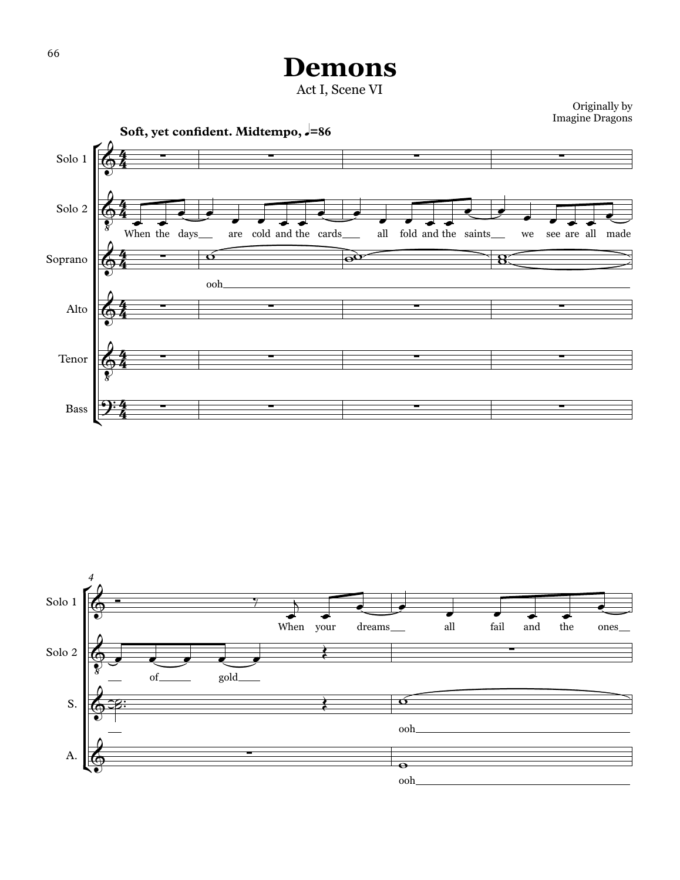Act I, Scene VI **Demons**

Originally by Imagine Dragons



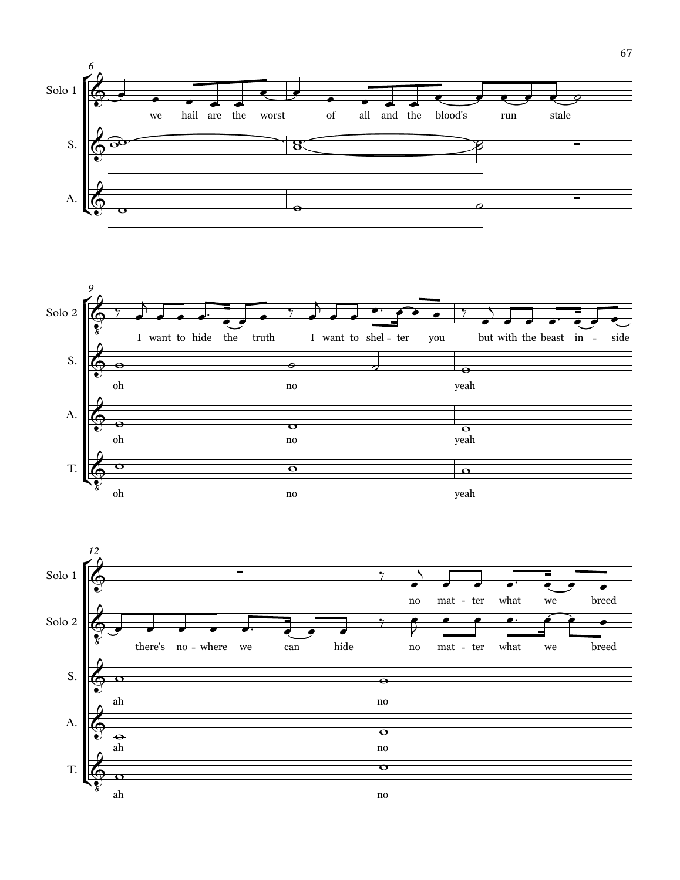



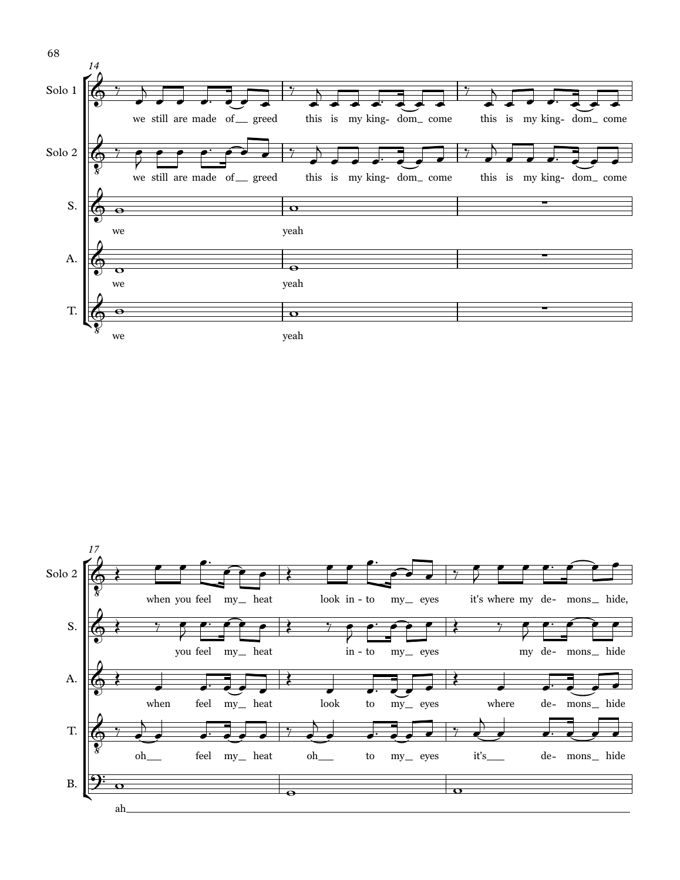

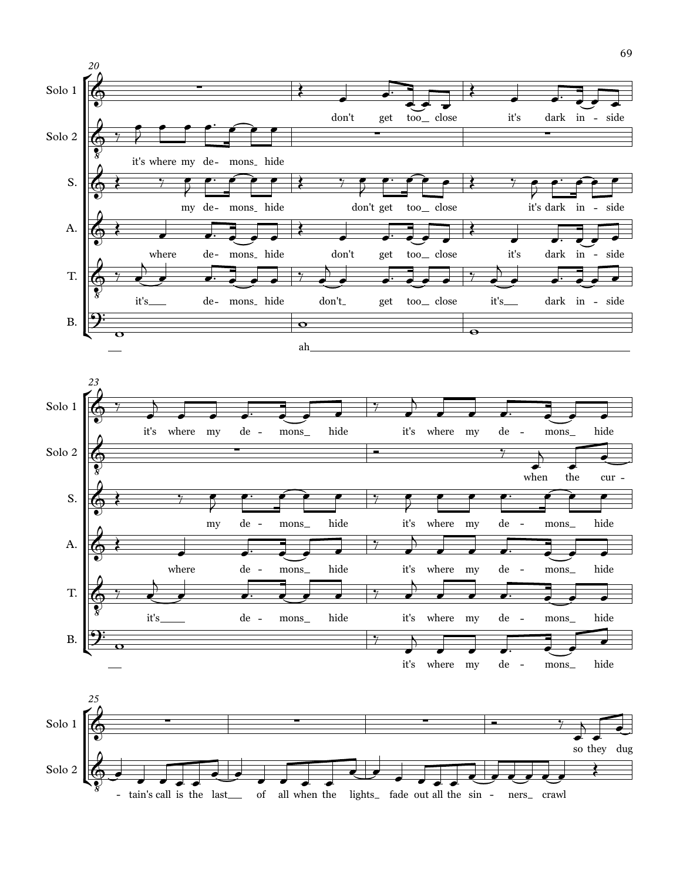



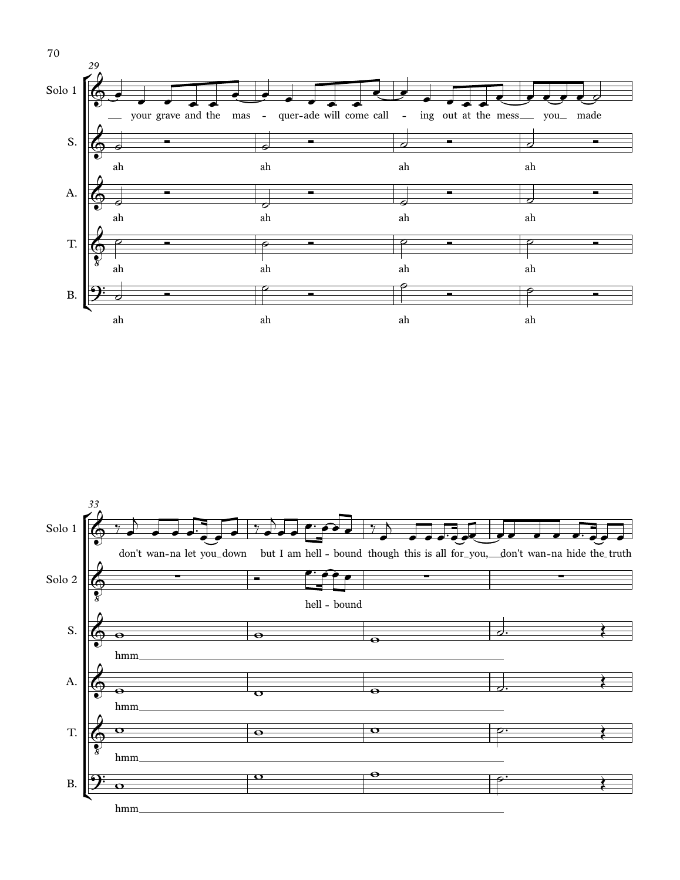

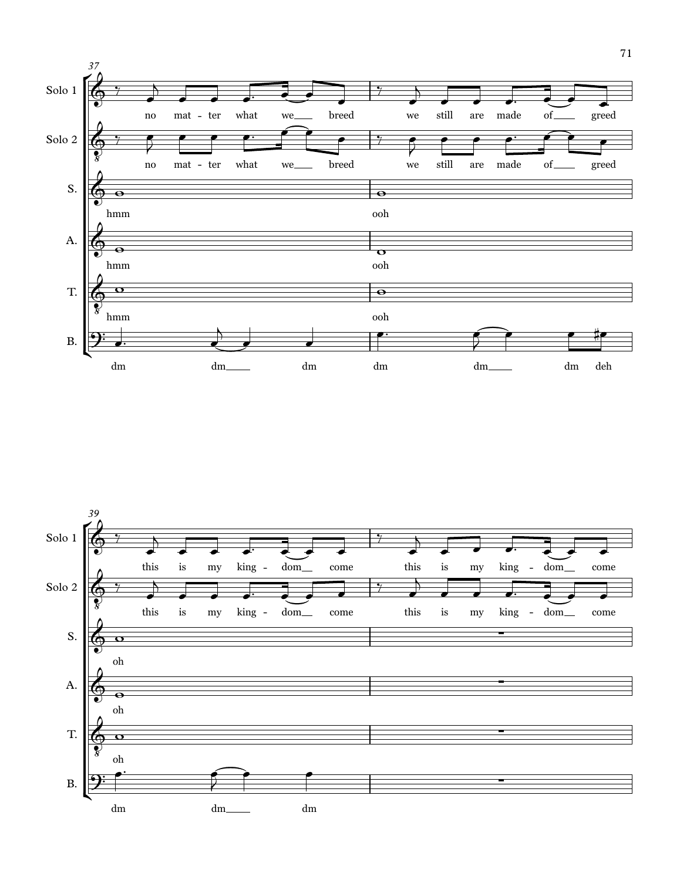

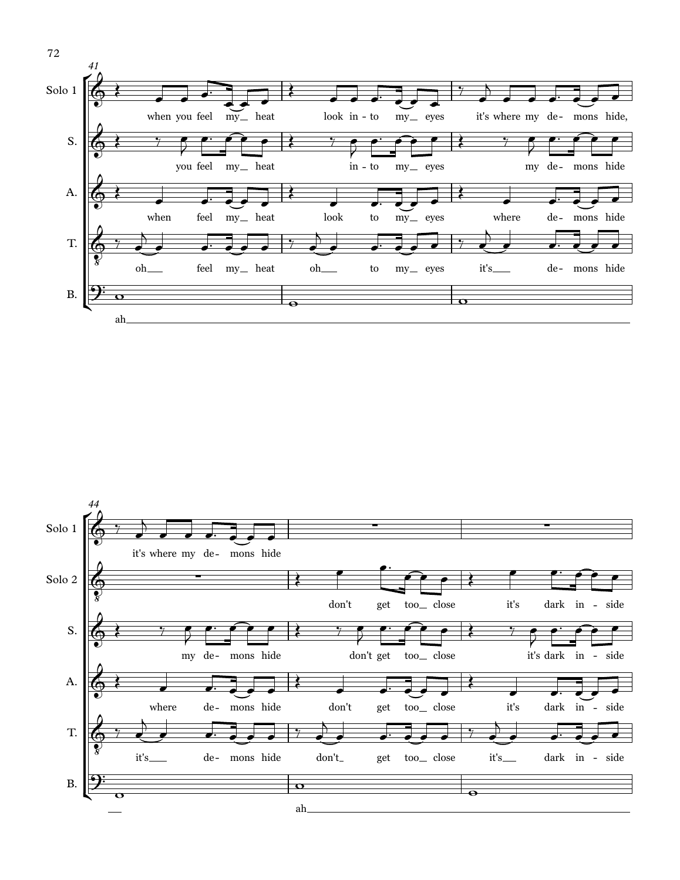

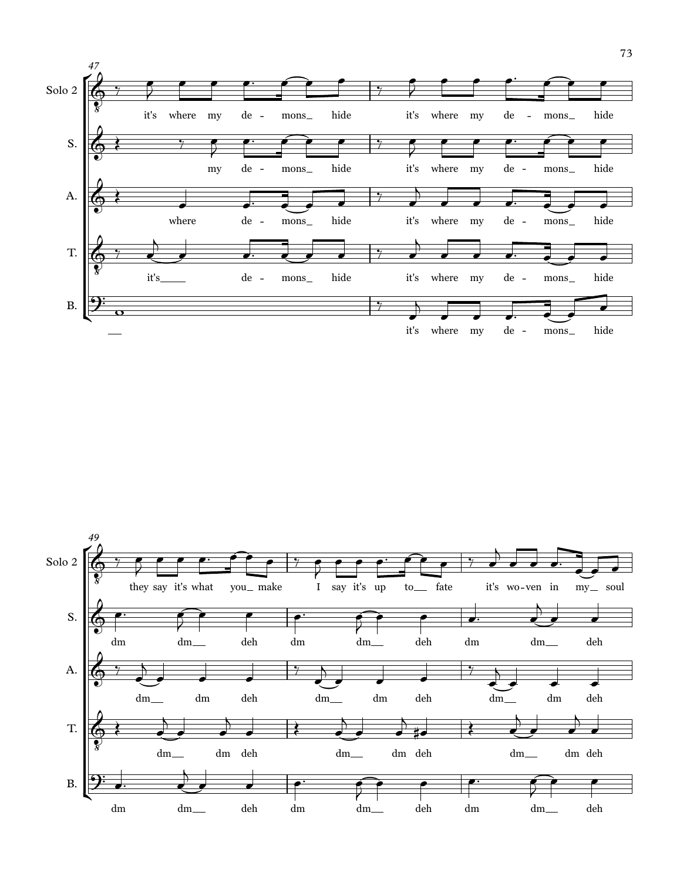

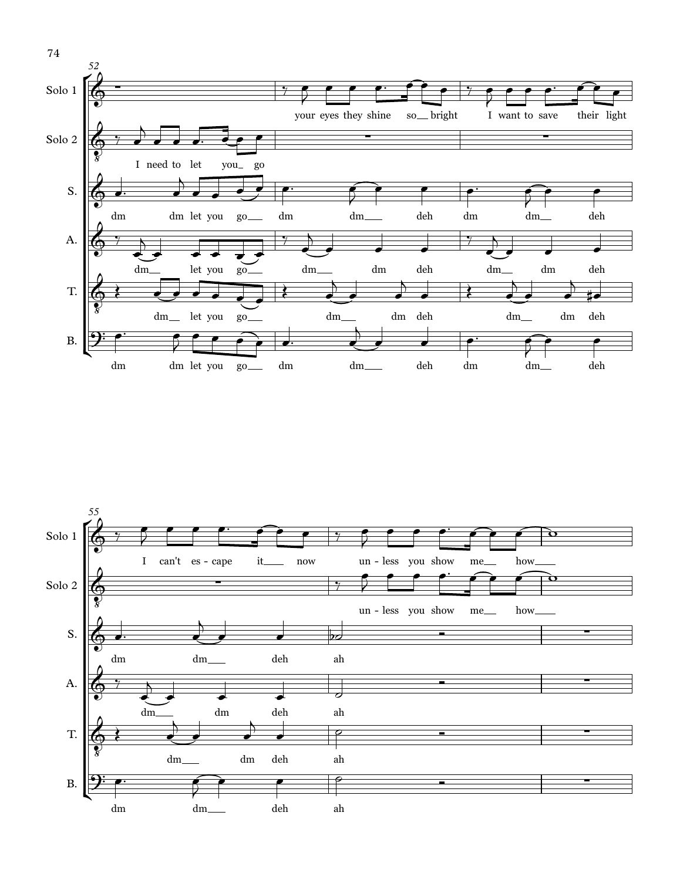